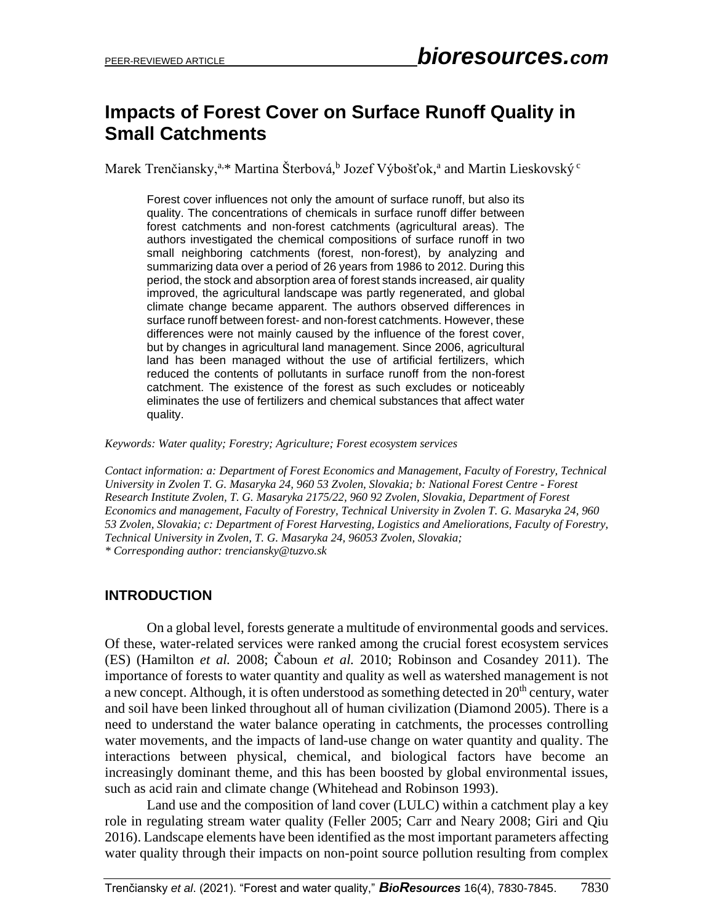# **Impacts of Forest Cover on Surface Runoff Quality in Small Catchments**

Marek Trenčiansky,<sup>a,\*</sup> Martina Šterbová,<sup>b</sup> Jozef Výbošťok,<sup>a</sup> and Martin Lieskovský <sup>c</sup>

Forest cover influences not only the amount of surface runoff, but also its quality. The concentrations of chemicals in surface runoff differ between forest catchments and non-forest catchments (agricultural areas). The authors investigated the chemical compositions of surface runoff in two small neighboring catchments (forest, non-forest), by analyzing and summarizing data over a period of 26 years from 1986 to 2012. During this period, the stock and absorption area of forest stands increased, air quality improved, the agricultural landscape was partly regenerated, and global climate change became apparent. The authors observed differences in surface runoff between forest- and non-forest catchments. However, these differences were not mainly caused by the influence of the forest cover, but by changes in agricultural land management. Since 2006, agricultural land has been managed without the use of artificial fertilizers, which reduced the contents of pollutants in surface runoff from the non-forest catchment. The existence of the forest as such excludes or noticeably eliminates the use of fertilizers and chemical substances that affect water quality.

#### *Keywords: Water quality; Forestry; Agriculture; Forest ecosystem services*

*Contact information: a: Department of Forest Economics and Management, Faculty of Forestry, Technical University in Zvolen T. G. Masaryka 24, 960 53 Zvolen, Slovakia; b: National Forest Centre - Forest Research Institute Zvolen, T. G. Masaryka 2175/22, 960 92 Zvolen, Slovakia, Department of Forest Economics and management, Faculty of Forestry, Technical University in Zvolen T. G. Masaryka 24, 960 53 Zvolen, Slovakia; c: Department of Forest Harvesting, Logistics and Ameliorations, Faculty of Forestry, Technical University in Zvolen, T. G. Masaryka 24, 96053 Zvolen, Slovakia; \* Corresponding author: trenciansky@tuzvo.sk*

#### **INTRODUCTION**

On a global level, forests generate a multitude of environmental goods and services. Of these, water-related services were ranked among the crucial forest ecosystem services (ES) (Hamilton *et al.* 2008; Čaboun *et al.* 2010; Robinson and Cosandey 2011). The importance of forests to water quantity and quality as well as watershed management is not a new concept. Although, it is often understood as something detected in 20<sup>th</sup> century, water and soil have been linked throughout all of human civilization (Diamond 2005). There is a need to understand the water balance operating in catchments, the processes controlling water movements, and the impacts of land-use change on water quantity and quality. The interactions between physical, chemical, and biological factors have become an increasingly dominant theme, and this has been boosted by global environmental issues, such as acid rain and climate change (Whitehead and Robinson 1993).

Land use and the composition of land cover (LULC) within a catchment play a key role in regulating stream water quality (Feller 2005; Carr and Neary 2008; Giri and Qiu 2016). Landscape elements have been identified as the most important parameters affecting water quality through their impacts on non-point source pollution resulting from complex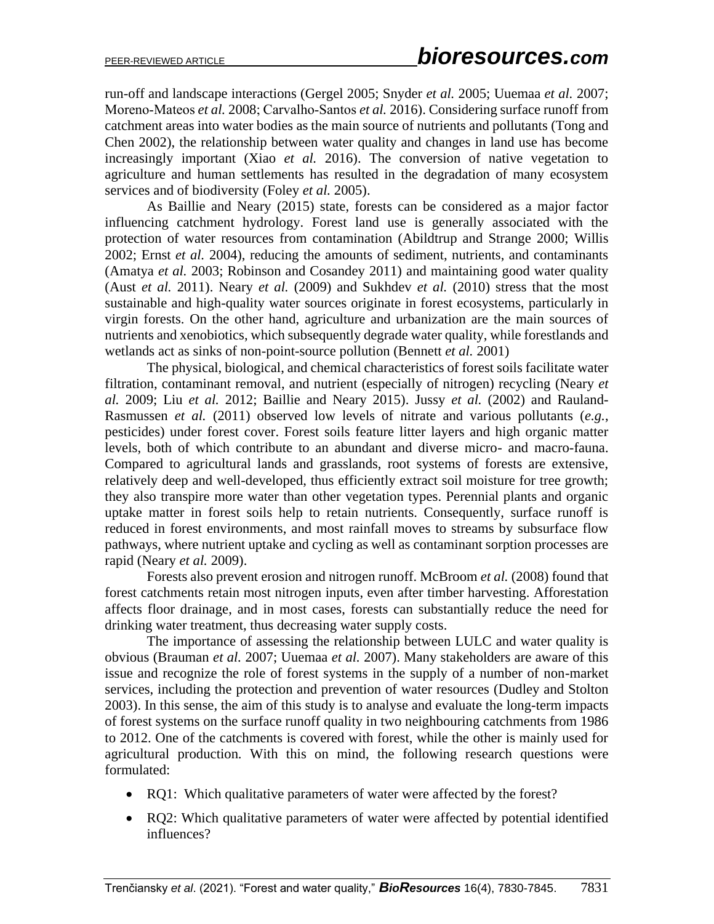run-off and landscape interactions (Gergel 2005; Snyder *et al.* 2005; Uuemaa *et al.* 2007; Moreno‐Mateos *et al.* 2008; Carvalho‐Santos *et al.* 2016). Considering surface runoff from catchment areas into water bodies as the main source of nutrients and pollutants (Tong and Chen 2002), the relationship between water quality and changes in land use has become increasingly important (Xiao *et al.* 2016). The conversion of native vegetation to agriculture and human settlements has resulted in the degradation of many ecosystem services and of biodiversity (Foley *et al.* 2005).

As Baillie and Neary (2015) state, forests can be considered as a major factor influencing catchment hydrology. Forest land use is generally associated with the protection of water resources from contamination (Abildtrup and Strange 2000; Willis 2002; Ernst *et al.* 2004), reducing the amounts of sediment, nutrients, and contaminants (Amatya *et al.* 2003; Robinson and Cosandey 2011) and maintaining good water quality (Aust *et al.* 2011). Neary *et al.* (2009) and Sukhdev *et al.* (2010) stress that the most sustainable and high-quality water sources originate in forest ecosystems, particularly in virgin forests. On the other hand, agriculture and urbanization are the main sources of nutrients and xenobiotics, which subsequently degrade water quality, while forestlands and wetlands act as sinks of non-point-source pollution (Bennett *et al.* 2001)

The physical, biological, and chemical characteristics of forest soils facilitate water filtration, contaminant removal, and nutrient (especially of nitrogen) recycling (Neary *et al.* 2009; Liu *et al.* 2012; Baillie and Neary 2015). Jussy *et al.* (2002) and Rauland-Rasmussen *et al.* (2011) observed low levels of nitrate and various pollutants (*e.g.*, pesticides) under forest cover. Forest soils feature litter layers and high organic matter levels, both of which contribute to an abundant and diverse micro- and macro-fauna. Compared to agricultural lands and grasslands, root systems of forests are extensive, relatively deep and well-developed, thus efficiently extract soil moisture for tree growth; they also transpire more water than other vegetation types. Perennial plants and organic uptake matter in forest soils help to retain nutrients. Consequently, surface runoff is reduced in forest environments, and most rainfall moves to streams by subsurface flow pathways, where nutrient uptake and cycling as well as contaminant sorption processes are rapid (Neary *et al.* 2009).

Forests also prevent erosion and nitrogen runoff. McBroom *et al.* (2008) found that forest catchments retain most nitrogen inputs, even after timber harvesting. Afforestation affects floor drainage, and in most cases, forests can substantially reduce the need for drinking water treatment, thus decreasing water supply costs.

The importance of assessing the relationship between LULC and water quality is obvious (Brauman *et al.* 2007; Uuemaa *et al.* 2007). Many stakeholders are aware of this issue and recognize the role of forest systems in the supply of a number of non-market services, including the protection and prevention of water resources (Dudley and Stolton 2003). In this sense, the aim of this study is to analyse and evaluate the long-term impacts of forest systems on the surface runoff quality in two neighbouring catchments from 1986 to 2012. One of the catchments is covered with forest, while the other is mainly used for agricultural production. With this on mind, the following research questions were formulated:

- RQ1: Which qualitative parameters of water were affected by the forest?
- RQ2: Which qualitative parameters of water were affected by potential identified influences?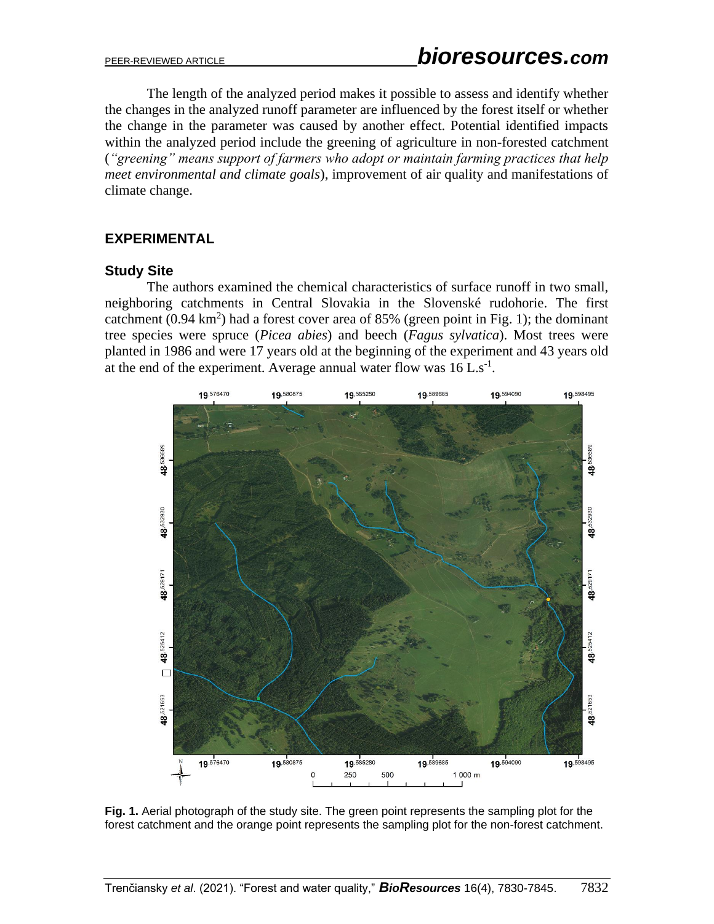The length of the analyzed period makes it possible to assess and identify whether the changes in the analyzed runoff parameter are influenced by the forest itself or whether the change in the parameter was caused by another effect. Potential identified impacts within the analyzed period include the greening of agriculture in non-forested catchment (*"greening" means support of farmers who adopt or maintain farming practices that help meet environmental and climate goals*), improvement of air quality and manifestations of climate change.

# **EXPERIMENTAL**

# **Study Site**

The authors examined the chemical characteristics of surface runoff in two small, neighboring catchments in Central Slovakia in the Slovenské rudohorie. The first catchment  $(0.94 \text{ km}^2)$  had a forest cover area of 85% (green point in Fig. 1); the dominant tree species were spruce (*Picea abies*) and beech (*Fagus sylvatica*). Most trees were planted in 1986 and were 17 years old at the beginning of the experiment and 43 years old at the end of the experiment. Average annual water flow was  $16$  L.s<sup>-1</sup>.



**Fig. 1.** Aerial photograph of the study site. The green point represents the sampling plot for the forest catchment and the orange point represents the sampling plot for the non-forest catchment.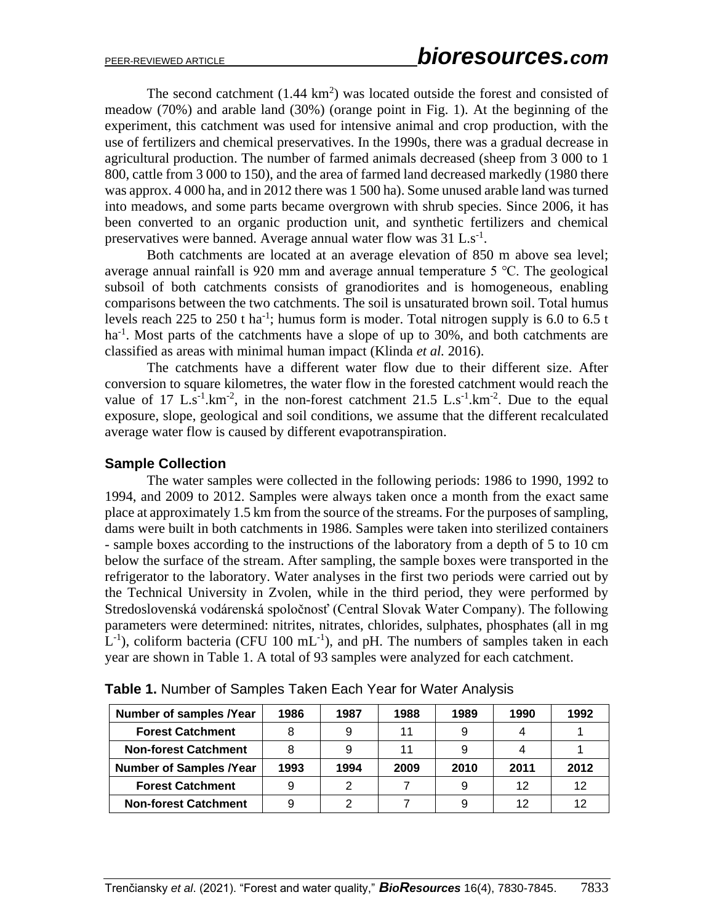The second catchment  $(1.44 \text{ km}^2)$  was located outside the forest and consisted of meadow (70%) and arable land (30%) (orange point in Fig. 1). At the beginning of the experiment, this catchment was used for intensive animal and crop production, with the use of fertilizers and chemical preservatives. In the 1990s, there was a gradual decrease in agricultural production. The number of farmed animals decreased (sheep from 3 000 to 1 800, cattle from 3 000 to 150), and the area of farmed land decreased markedly (1980 there was approx. 4 000 ha, and in 2012 there was 1 500 ha). Some unused arable land was turned into meadows, and some parts became overgrown with shrub species. Since 2006, it has been converted to an organic production unit, and synthetic fertilizers and chemical preservatives were banned. Average annual water flow was  $31$  L.s<sup>-1</sup>.

Both catchments are located at an average elevation of 850 m above sea level; average annual rainfall is 920 mm and average annual temperature 5 ℃. The geological subsoil of both catchments consists of granodiorites and is homogeneous, enabling comparisons between the two catchments. The soil is unsaturated brown soil. Total humus levels reach 225 to 250 t ha<sup>-1</sup>; humus form is moder. Total nitrogen supply is 6.0 to 6.5 t ha<sup>-1</sup>. Most parts of the catchments have a slope of up to 30%, and both catchments are classified as areas with minimal human impact (Klinda *et al.* 2016).

The catchments have a different water flow due to their different size. After conversion to square kilometres, the water flow in the forested catchment would reach the value of 17 L.s<sup>-1</sup>.km<sup>-2</sup>, in the non-forest catchment 21.5 L.s<sup>-1</sup>.km<sup>-2</sup>. Due to the equal exposure, slope, geological and soil conditions, we assume that the different recalculated average water flow is caused by different evapotranspiration.

#### **Sample Collection**

The water samples were collected in the following periods: 1986 to 1990, 1992 to 1994, and 2009 to 2012. Samples were always taken once a month from the exact same place at approximately 1.5 km from the source of the streams. For the purposes of sampling, dams were built in both catchments in 1986. Samples were taken into sterilized containers - sample boxes according to the instructions of the laboratory from a depth of 5 to 10 cm below the surface of the stream. After sampling, the sample boxes were transported in the refrigerator to the laboratory. Water analyses in the first two periods were carried out by the Technical University in Zvolen, while in the third period, they were performed by Stredoslovenská vodárenská spoločnosť (Central Slovak Water Company). The following parameters were determined: nitrites, nitrates, chlorides, sulphates, phosphates (all in mg  $L^{-1}$ ), coliform bacteria (CFU 100 mL<sup>-1</sup>), and pH. The numbers of samples taken in each year are shown in Table 1. A total of 93 samples were analyzed for each catchment.

| <b>Number of samples /Year</b> | 1986 | 1987 | 1988 | 1989 | 1990 | 1992 |
|--------------------------------|------|------|------|------|------|------|
| <b>Forest Catchment</b>        |      | 9    | 11   |      |      |      |
| <b>Non-forest Catchment</b>    |      |      |      |      |      |      |
| <b>Number of Samples /Year</b> | 1993 | 1994 | 2009 | 2010 | 2011 | 2012 |
| <b>Forest Catchment</b>        |      | 2    |      |      | 12   | 12   |
| <b>Non-forest Catchment</b>    |      | ⌒    |      |      | 12   |      |

**Table 1.** Number of Samples Taken Each Year for Water Analysis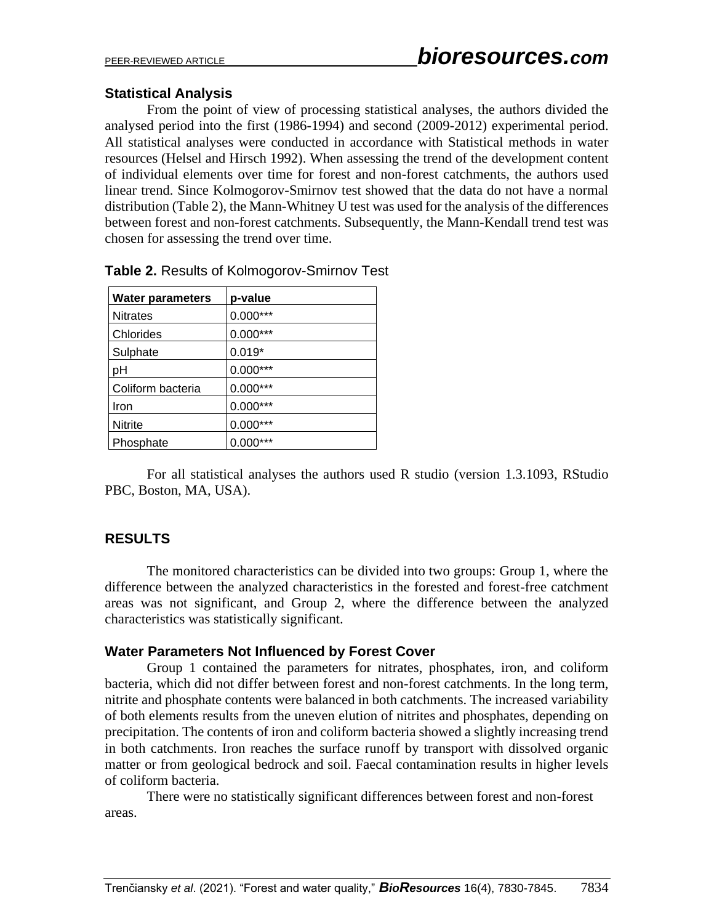# **Statistical Analysis**

From the point of view of processing statistical analyses, the authors divided the analysed period into the first (1986-1994) and second (2009-2012) experimental period. All statistical analyses were conducted in accordance with Statistical methods in water resources (Helsel and Hirsch 1992). When assessing the trend of the development content of individual elements over time for forest and non-forest catchments, the authors used linear trend. Since Kolmogorov-Smirnov test showed that the data do not have a normal distribution (Table 2), the Mann-Whitney U test was used for the analysis of the differences between forest and non-forest catchments. Subsequently, the Mann-Kendall trend test was chosen for assessing the trend over time.

| <b>Water parameters</b> | p-value    |
|-------------------------|------------|
| <b>Nitrates</b>         | $0.000***$ |
| Chlorides               | $0.000***$ |
| Sulphate                | $0.019*$   |
| рH                      | $0.000***$ |
| Coliform bacteria       | $0.000***$ |
| Iron                    | $0.000***$ |
| <b>Nitrite</b>          | $0.000***$ |
| Phosphate               | $0.000***$ |

|  |  |  |  | Table 2. Results of Kolmogorov-Smirnov Test |  |  |
|--|--|--|--|---------------------------------------------|--|--|
|--|--|--|--|---------------------------------------------|--|--|

For all statistical analyses the authors used R studio (version 1.3.1093, RStudio PBC, Boston, MA, USA).

# **RESULTS**

The monitored characteristics can be divided into two groups: Group 1, where the difference between the analyzed characteristics in the forested and forest-free catchment areas was not significant, and Group 2, where the difference between the analyzed characteristics was statistically significant.

# **Water Parameters Not Influenced by Forest Cover**

Group 1 contained the parameters for nitrates, phosphates, iron, and coliform bacteria, which did not differ between forest and non-forest catchments. In the long term, nitrite and phosphate contents were balanced in both catchments. The increased variability of both elements results from the uneven elution of nitrites and phosphates, depending on precipitation. The contents of iron and coliform bacteria showed a slightly increasing trend in both catchments. Iron reaches the surface runoff by transport with dissolved organic matter or from geological bedrock and soil. Faecal contamination results in higher levels of coliform bacteria.

There were no statistically significant differences between forest and non-forest areas.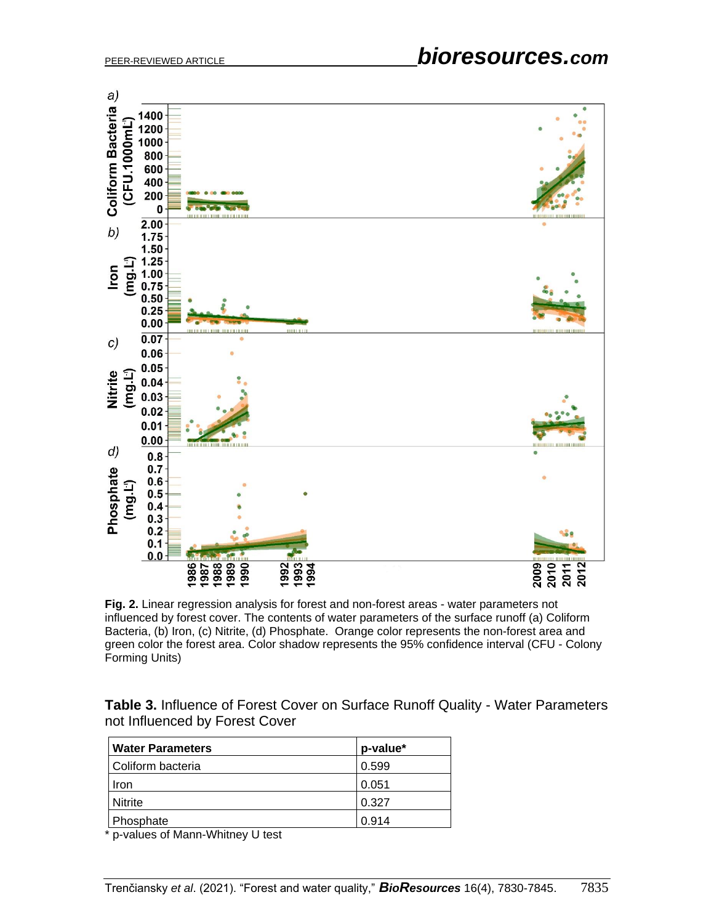

**Fig. 2.** Linear regression analysis for forest and non-forest areas - water parameters not influenced by forest cover. The contents of water parameters of the surface runoff (a) Coliform Bacteria, (b) Iron, (c) Nitrite, (d) Phosphate. Orange color represents the non-forest area and green color the forest area. Color shadow represents the 95% confidence interval (CFU - Colony Forming Units)

**Table 3.** Influence of Forest Cover on Surface Runoff Quality - Water Parameters not Influenced by Forest Cover

| <b>Water Parameters</b> | p-value* |
|-------------------------|----------|
| Coliform bacteria       | 0.599    |
| Iron                    | 0.051    |
| Nitrite                 | 0.327    |
| Phosphate               | 0.914    |

\* p-values of Mann-Whitney U test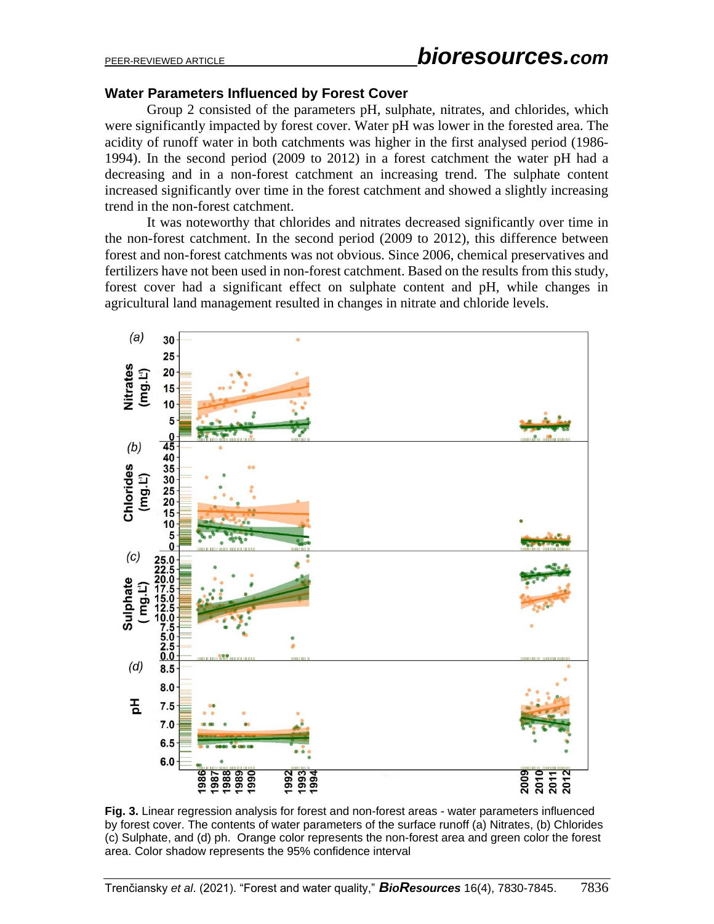#### **Water Parameters Influenced by Forest Cover**

Group 2 consisted of the parameters pH, sulphate, nitrates, and chlorides, which were significantly impacted by forest cover. Water pH was lower in the forested area. The acidity of runoff water in both catchments was higher in the first analysed period (1986- 1994). In the second period (2009 to 2012) in a forest catchment the water pH had a decreasing and in a non-forest catchment an increasing trend. The sulphate content increased significantly over time in the forest catchment and showed a slightly increasing trend in the non-forest catchment.

It was noteworthy that chlorides and nitrates decreased significantly over time in the non-forest catchment. In the second period (2009 to 2012), this difference between forest and non-forest catchments was not obvious. Since 2006, chemical preservatives and fertilizers have not been used in non-forest catchment. Based on the results from this study, forest cover had a significant effect on sulphate content and pH, while changes in agricultural land management resulted in changes in nitrate and chloride levels.



**Fig. 3.** Linear regression analysis for forest and non-forest areas - water parameters influenced by forest cover. The contents of water parameters of the surface runoff (a) Nitrates, (b) Chlorides (c) Sulphate, and (d) ph. Orange color represents the non-forest area and green color the forest area. Color shadow represents the 95% confidence interval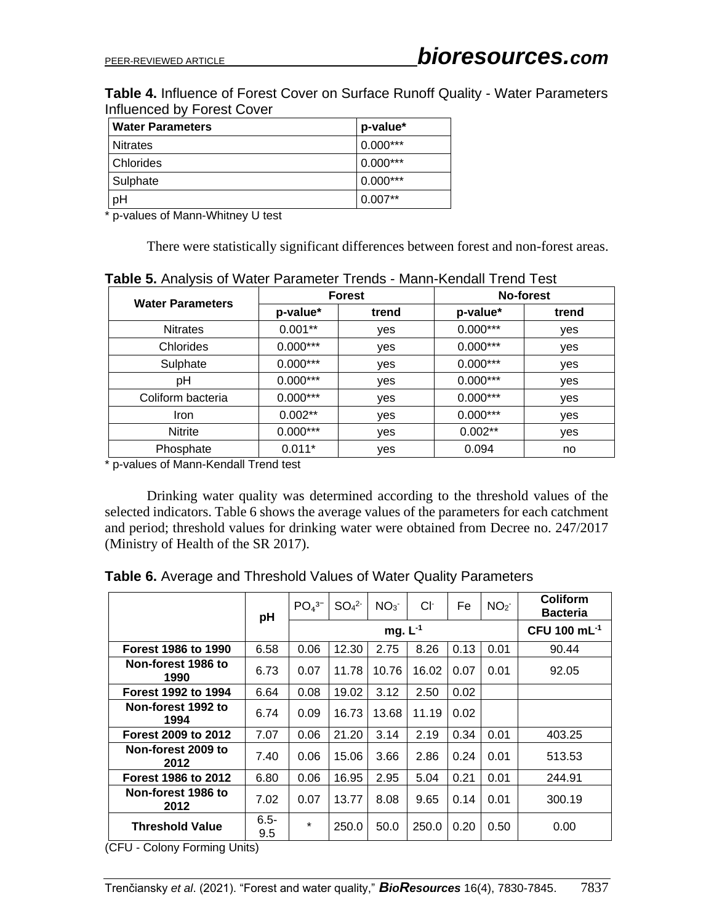**Table 4.** Influence of Forest Cover on Surface Runoff Quality - Water Parameters Influenced by Forest Cover

| <b>Water Parameters</b> | p-value*   |
|-------------------------|------------|
| <b>Nitrates</b>         | $0.000***$ |
| <b>Chlorides</b>        | $0.000***$ |
| Sulphate                | $0.000***$ |
| pH                      | $0.007**$  |

\* p-values of Mann-Whitney U test

There were statistically significant differences between forest and non-forest areas.

| <b>Water Parameters</b> |            | <b>Forest</b> | No-forest  |       |  |
|-------------------------|------------|---------------|------------|-------|--|
|                         | p-value*   | trend         | p-value*   | trend |  |
| <b>Nitrates</b>         | $0.001**$  | yes           | $0.000***$ | yes   |  |
| Chlorides               | $0.000***$ | yes           | $0.000***$ | yes   |  |
| Sulphate                | $0.000***$ | yes           | $0.000***$ | yes   |  |
| рH                      | $0.000***$ | yes           | $0.000***$ | yes   |  |
| Coliform bacteria       | $0.000***$ | yes           | $0.000***$ | yes   |  |
| <b>Iron</b>             | $0.002**$  | yes           | $0.000***$ | yes   |  |
| Nitrite                 | $0.000***$ | yes           | $0.002**$  | yes   |  |
| Phosphate               | $0.011*$   | yes           | 0.094      | no    |  |

**Table 5.** Analysis of Water Parameter Trends - Mann-Kendall Trend Test

\* p-values of Mann-Kendall Trend test

Drinking water quality was determined according to the threshold values of the selected indicators. Table 6 shows the average values of the parameters for each catchment and period; threshold values for drinking water were obtained from Decree no. 247/2017 (Ministry of Health of the SR 2017).

|                            | pH             | $PO43-$      | SO <sub>4</sub> <sup>2</sup> | NO <sub>3</sub> | Cŀ    | Fe   | NO <sub>2</sub> | Coliform<br><b>Bacteria</b> |
|----------------------------|----------------|--------------|------------------------------|-----------------|-------|------|-----------------|-----------------------------|
|                            |                | mg. $L^{-1}$ |                              |                 |       |      |                 | CFU 100 mL <sup>-1</sup>    |
| <b>Forest 1986 to 1990</b> | 6.58           | 0.06         | 12.30                        | 2.75            | 8.26  | 0.13 | 0.01            | 90.44                       |
| Non-forest 1986 to<br>1990 | 6.73           | 0.07         | 11.78                        | 10.76           | 16.02 | 0.07 | 0.01            | 92.05                       |
| Forest 1992 to 1994        | 6.64           | 0.08         | 19.02                        | 3.12            | 2.50  | 0.02 |                 |                             |
| Non-forest 1992 to<br>1994 | 6.74           | 0.09         | 16.73                        | 13.68           | 11.19 | 0.02 |                 |                             |
| Forest 2009 to 2012        | 7.07           | 0.06         | 21.20                        | 3.14            | 2.19  | 0.34 | 0.01            | 403.25                      |
| Non-forest 2009 to<br>2012 | 7.40           | 0.06         | 15.06                        | 3.66            | 2.86  | 0.24 | 0.01            | 513.53                      |
| <b>Forest 1986 to 2012</b> | 6.80           | 0.06         | 16.95                        | 2.95            | 5.04  | 0.21 | 0.01            | 244.91                      |
| Non-forest 1986 to<br>2012 | 7.02           | 0.07         | 13.77                        | 8.08            | 9.65  | 0.14 | 0.01            | 300.19                      |
| <b>Threshold Value</b>     | $6.5 -$<br>9.5 | $\star$      | 250.0                        | 50.0            | 250.0 | 0.20 | 0.50            | 0.00                        |

**Table 6.** Average and Threshold Values of Water Quality Parameters

(CFU - Colony Forming Units)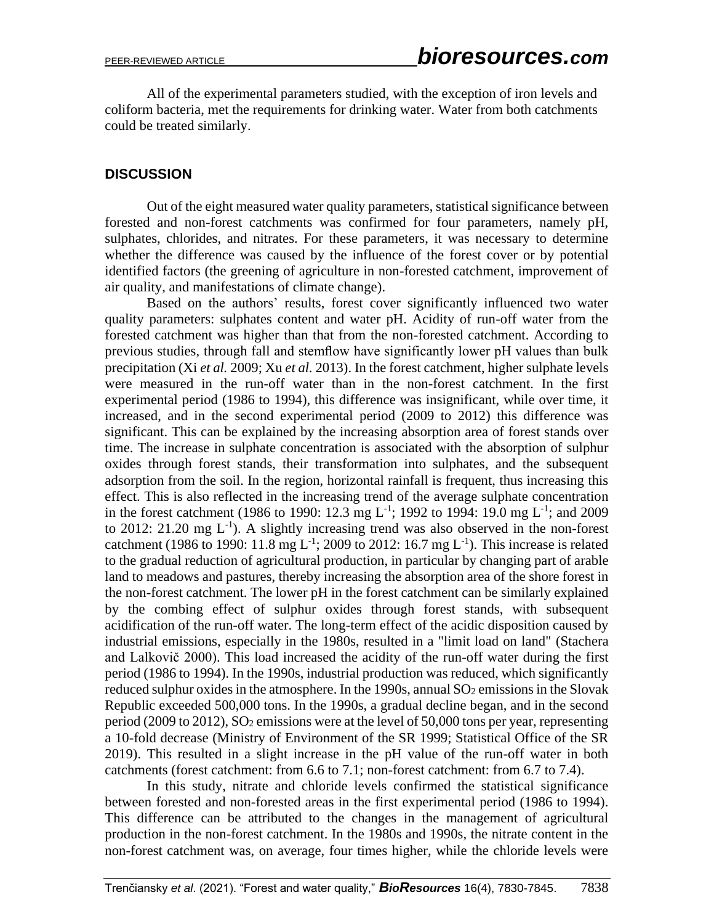All of the experimental parameters studied, with the exception of iron levels and coliform bacteria, met the requirements for drinking water. Water from both catchments could be treated similarly.

# **DISCUSSION**

Out of the eight measured water quality parameters, statistical significance between forested and non-forest catchments was confirmed for four parameters, namely pH, sulphates, chlorides, and nitrates. For these parameters, it was necessary to determine whether the difference was caused by the influence of the forest cover or by potential identified factors (the greening of agriculture in non-forested catchment, improvement of air quality, and manifestations of climate change).

Based on the authors' results, forest cover significantly influenced two water quality parameters: sulphates content and water pH. Acidity of run-off water from the forested catchment was higher than that from the non-forested catchment. According to previous studies, through fall and stemflow have significantly lower pH values than bulk precipitation (Xi *et al.* 2009; Xu *et al.* 2013). In the forest catchment, higher sulphate levels were measured in the run-off water than in the non-forest catchment. In the first experimental period (1986 to 1994), this difference was insignificant, while over time, it increased, and in the second experimental period (2009 to 2012) this difference was significant. This can be explained by the increasing absorption area of forest stands over time. The increase in sulphate concentration is associated with the absorption of sulphur oxides through forest stands, their transformation into sulphates, and the subsequent adsorption from the soil. In the region, horizontal rainfall is frequent, thus increasing this effect. This is also reflected in the increasing trend of the average sulphate concentration in the forest catchment (1986 to 1990: 12.3 mg L<sup>-1</sup>; 1992 to 1994: 19.0 mg L<sup>-1</sup>; and 2009 to 2012: 21.20 mg  $L^{-1}$ ). A slightly increasing trend was also observed in the non-forest catchment (1986 to 1990: 11.8 mg L<sup>-1</sup>; 2009 to 2012: 16.7 mg L<sup>-1</sup>). This increase is related to the gradual reduction of agricultural production, in particular by changing part of arable land to meadows and pastures, thereby increasing the absorption area of the shore forest in the non-forest catchment. The lower pH in the forest catchment can be similarly explained by the combing effect of sulphur oxides through forest stands, with subsequent acidification of the run-off water. The long-term effect of the acidic disposition caused by industrial emissions, especially in the 1980s, resulted in a "limit load on land" (Stachera and Lalkovič 2000). This load increased the acidity of the run-off water during the first period (1986 to 1994). In the 1990s, industrial production was reduced, which significantly reduced sulphur oxides in the atmosphere. In the 1990s, annual  $SO<sub>2</sub>$  emissions in the Slovak Republic exceeded 500,000 tons. In the 1990s, a gradual decline began, and in the second period (2009 to 2012), SO<sup>2</sup> emissions were at the level of 50,000 tons per year, representing a 10-fold decrease (Ministry of Environment of the SR 1999; Statistical Office of the SR 2019). This resulted in a slight increase in the pH value of the run-off water in both catchments (forest catchment: from 6.6 to 7.1; non-forest catchment: from 6.7 to 7.4).

In this study, nitrate and chloride levels confirmed the statistical significance between forested and non-forested areas in the first experimental period (1986 to 1994). This difference can be attributed to the changes in the management of agricultural production in the non-forest catchment. In the 1980s and 1990s, the nitrate content in the non-forest catchment was, on average, four times higher, while the chloride levels were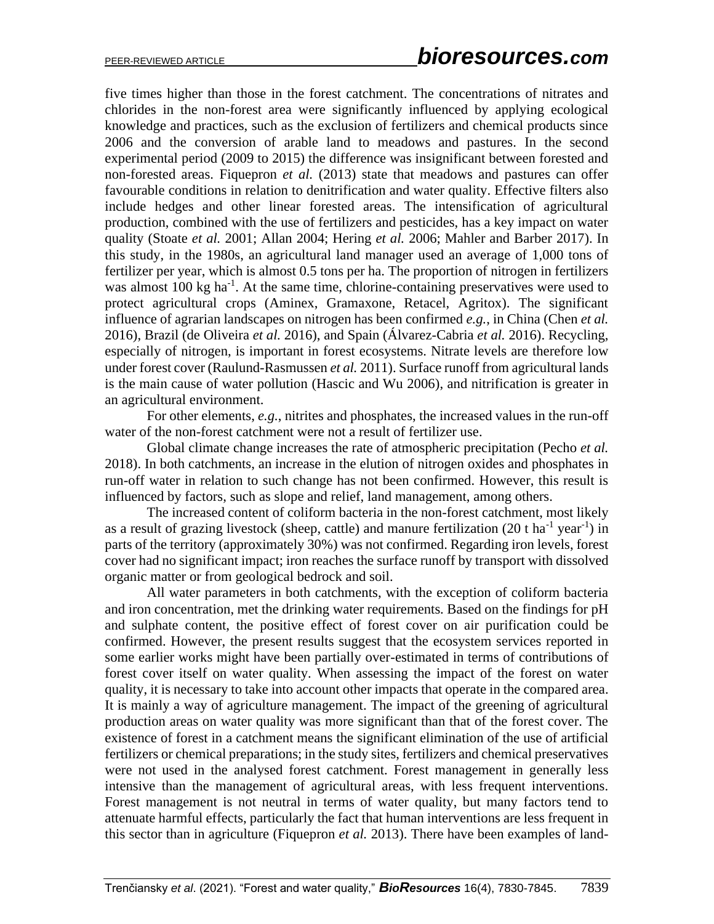five times higher than those in the forest catchment. The concentrations of nitrates and chlorides in the non-forest area were significantly influenced by applying ecological knowledge and practices, such as the exclusion of fertilizers and chemical products since 2006 and the conversion of arable land to meadows and pastures. In the second experimental period (2009 to 2015) the difference was insignificant between forested and non-forested areas. Fiquepron *et al.* (2013) state that meadows and pastures can offer favourable conditions in relation to denitrification and water quality. Effective filters also include hedges and other linear forested areas. The intensification of agricultural production, combined with the use of fertilizers and pesticides, has a key impact on water quality (Stoate *et al.* 2001; Allan 2004; Hering *et al.* 2006; Mahler and Barber 2017). In this study, in the 1980s, an agricultural land manager used an average of 1,000 tons of fertilizer per year, which is almost 0.5 tons per ha. The proportion of nitrogen in fertilizers was almost 100 kg ha<sup>-1</sup>. At the same time, chlorine-containing preservatives were used to protect agricultural crops (Aminex, Gramaxone, Retacel, Agritox). The significant influence of agrarian landscapes on nitrogen has been confirmed *e.g.*, in China (Chen *et al.* 2016), Brazil (de Oliveira *et al.* 2016), and Spain (Álvarez-Cabria *et al.* 2016). Recycling, especially of nitrogen, is important in forest ecosystems. Nitrate levels are therefore low under forest cover (Raulund-Rasmussen *et al.* 2011). Surface runoff from agricultural lands is the main cause of water pollution (Hascic and Wu 2006), and nitrification is greater in an agricultural environment.

For other elements, *e.g.*, nitrites and phosphates, the increased values in the run-off water of the non-forest catchment were not a result of fertilizer use.

Global climate change increases the rate of atmospheric precipitation (Pecho *et al.* 2018). In both catchments, an increase in the elution of nitrogen oxides and phosphates in run-off water in relation to such change has not been confirmed. However, this result is influenced by factors, such as slope and relief, land management, among others.

The increased content of coliform bacteria in the non-forest catchment, most likely as a result of grazing livestock (sheep, cattle) and manure fertilization  $(20 \text{ t} \text{ ha}^{-1} \text{ year}^{-1})$  in parts of the territory (approximately 30%) was not confirmed. Regarding iron levels, forest cover had no significant impact; iron reaches the surface runoff by transport with dissolved organic matter or from geological bedrock and soil.

All water parameters in both catchments, with the exception of coliform bacteria and iron concentration, met the drinking water requirements. Based on the findings for pH and sulphate content, the positive effect of forest cover on air purification could be confirmed. However, the present results suggest that the ecosystem services reported in some earlier works might have been partially over-estimated in terms of contributions of forest cover itself on water quality. When assessing the impact of the forest on water quality, it is necessary to take into account other impacts that operate in the compared area. It is mainly a way of agriculture management. The impact of the greening of agricultural production areas on water quality was more significant than that of the forest cover. The existence of forest in a catchment means the significant elimination of the use of artificial fertilizers or chemical preparations; in the study sites, fertilizers and chemical preservatives were not used in the analysed forest catchment. Forest management in generally less intensive than the management of agricultural areas, with less frequent interventions. Forest management is not neutral in terms of water quality, but many factors tend to attenuate harmful effects, particularly the fact that human interventions are less frequent in this sector than in agriculture (Fiquepron *et al.* 2013). There have been examples of land-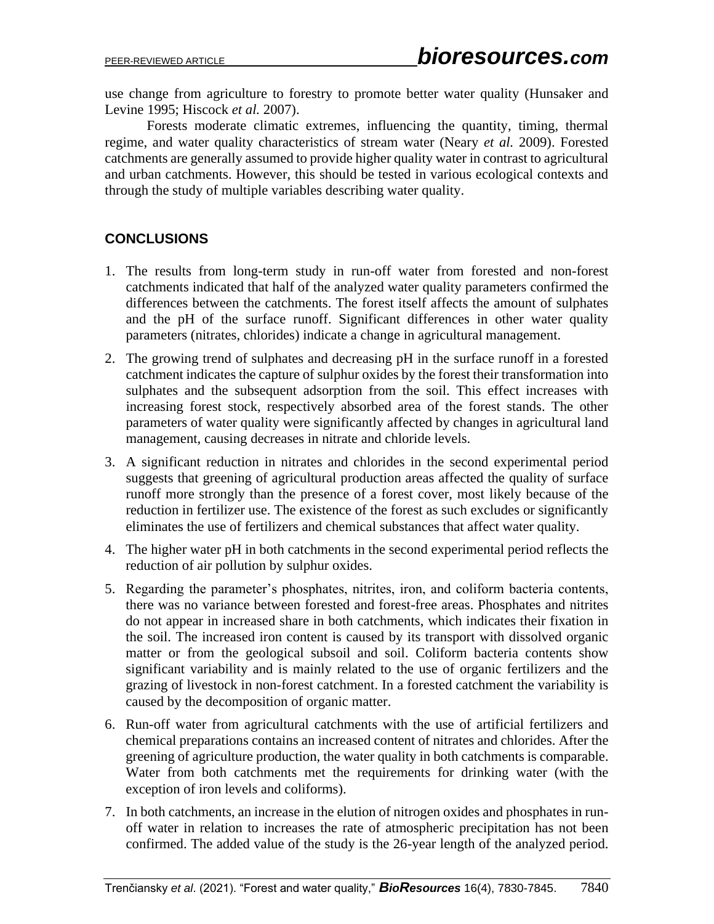use change from agriculture to forestry to promote better water quality (Hunsaker and Levine 1995; Hiscock *et al.* 2007).

Forests moderate climatic extremes, influencing the quantity, timing, thermal regime, and water quality characteristics of stream water (Neary *et al.* 2009). Forested catchments are generally assumed to provide higher quality water in contrast to agricultural and urban catchments. However, this should be tested in various ecological contexts and through the study of multiple variables describing water quality.

# **CONCLUSIONS**

- 1. The results from long-term study in run-off water from forested and non-forest catchments indicated that half of the analyzed water quality parameters confirmed the differences between the catchments. The forest itself affects the amount of sulphates and the pH of the surface runoff. Significant differences in other water quality parameters (nitrates, chlorides) indicate a change in agricultural management.
- 2. The growing trend of sulphates and decreasing pH in the surface runoff in a forested catchment indicates the capture of sulphur oxides by the forest their transformation into sulphates and the subsequent adsorption from the soil. This effect increases with increasing forest stock, respectively absorbed area of the forest stands. The other parameters of water quality were significantly affected by changes in agricultural land management, causing decreases in nitrate and chloride levels.
- 3. A significant reduction in nitrates and chlorides in the second experimental period suggests that greening of agricultural production areas affected the quality of surface runoff more strongly than the presence of a forest cover, most likely because of the reduction in fertilizer use. The existence of the forest as such excludes or significantly eliminates the use of fertilizers and chemical substances that affect water quality.
- 4. The higher water pH in both catchments in the second experimental period reflects the reduction of air pollution by sulphur oxides.
- 5. Regarding the parameter's phosphates, nitrites, iron, and coliform bacteria contents, there was no variance between forested and forest-free areas. Phosphates and nitrites do not appear in increased share in both catchments, which indicates their fixation in the soil. The increased iron content is caused by its transport with dissolved organic matter or from the geological subsoil and soil. Coliform bacteria contents show significant variability and is mainly related to the use of organic fertilizers and the grazing of livestock in non-forest catchment. In a forested catchment the variability is caused by the decomposition of organic matter.
- 6. Run-off water from agricultural catchments with the use of artificial fertilizers and chemical preparations contains an increased content of nitrates and chlorides. After the greening of agriculture production, the water quality in both catchments is comparable. Water from both catchments met the requirements for drinking water (with the exception of iron levels and coliforms).
- 7. In both catchments, an increase in the elution of nitrogen oxides and phosphates in runoff water in relation to increases the rate of atmospheric precipitation has not been confirmed. The added value of the study is the 26-year length of the analyzed period.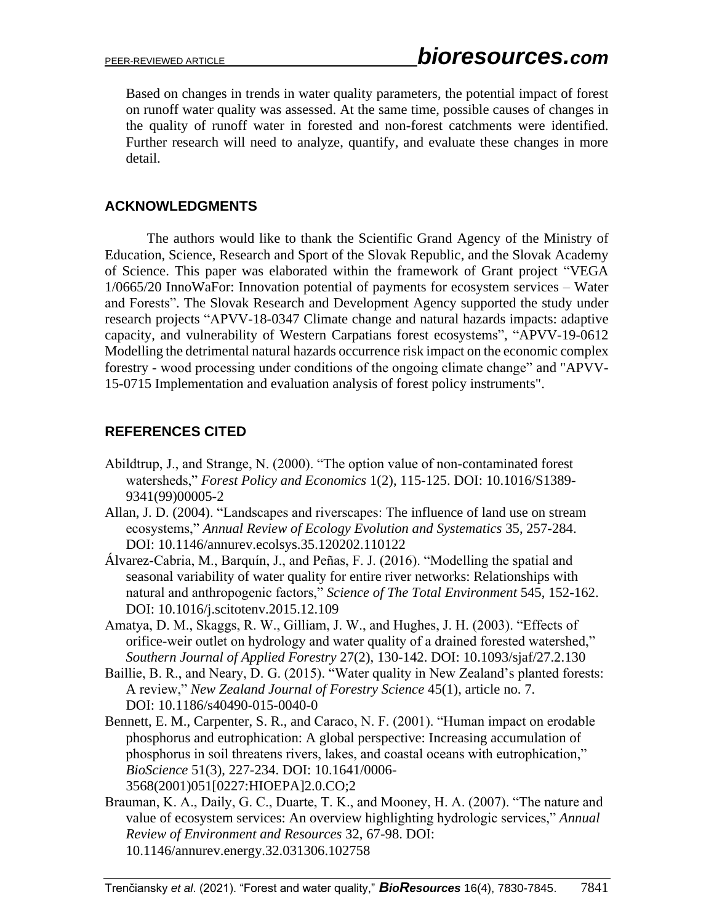Based on changes in trends in water quality parameters, the potential impact of forest on runoff water quality was assessed. At the same time, possible causes of changes in the quality of runoff water in forested and non-forest catchments were identified. Further research will need to analyze, quantify, and evaluate these changes in more detail.

# **ACKNOWLEDGMENTS**

The authors would like to thank the Scientific Grand Agency of the Ministry of Education, Science, Research and Sport of the Slovak Republic, and the Slovak Academy of Science. This paper was elaborated within the framework of Grant project "VEGA 1/0665/20 InnoWaFor: Innovation potential of payments for ecosystem services – Water and Forests". The Slovak Research and Development Agency supported the study under research projects "APVV-18-0347 Climate change and natural hazards impacts: adaptive capacity, and vulnerability of Western Carpatians forest ecosystems", "APVV-19-0612 Modelling the detrimental natural hazards occurrence risk impact on the economic complex forestry - wood processing under conditions of the ongoing climate change" and "APVV-15-0715 Implementation and evaluation analysis of forest policy instruments".

# **REFERENCES CITED**

- Abildtrup, J., and Strange, N. (2000). "The option value of non-contaminated forest watersheds," *Forest Policy and Economics* 1(2), 115-125. [DOI: 10.1016/S1389-](https://doi.org/10.1016/S1389-9341(99)00005-2) [9341\(99\)00005-2](https://doi.org/10.1016/S1389-9341(99)00005-2)
- Allan, J. D. (2004). "Landscapes and riverscapes: The influence of land use on stream ecosystems," *Annual Review of Ecology Evolution and Systematics* 35, 257-284. DOI: [10.1146/annurev.ecolsys.35.120202.110122](https://doi.org/10.1146/annurev.ecolsys.35.120202.110122)
- Álvarez-Cabria, M., Barquín, J., and Peñas, F. J. (2016). "Modelling the spatial and seasonal variability of water quality for entire river networks: Relationships with natural and anthropogenic factors," *Science of The Total Environment* 545, 152-162. DOI: 10.1016/j.scitotenv.2015.12.109
- Amatya, D. M., Skaggs, R. W., Gilliam, J. W., and Hughes, J. H. (2003). "Effects of orifice-weir outlet on hydrology and water quality of a drained forested watershed," *Southern Journal of Applied Forestry* 27(2), 130-142. DOI: 10.1093/sjaf/27.2.130
- Baillie, B. R., and Neary, D. G. (2015). "Water quality in New Zealand's planted forests: A review," *New Zealand Journal of Forestry Science* 45(1), article no. 7. DOI: 10.1186/s40490-015-0040-0
- Bennett, E. M., Carpenter, S. R., and Caraco, N. F. (2001). "Human impact on erodable phosphorus and eutrophication: A global perspective: Increasing accumulation of phosphorus in soil threatens rivers, lakes, and coastal oceans with eutrophication," *BioScience* 51(3), 227-234. DOI: [10.1641/0006-](https://doi.org/10.1641/0006-3568(2001)051%5b0227:HIOEPA%5d2.0.CO;2) [3568\(2001\)051\[0227:HIOEPA\]2.0.CO;2](https://doi.org/10.1641/0006-3568(2001)051%5b0227:HIOEPA%5d2.0.CO;2)
- Brauman, K. A., Daily, G. C., Duarte, T. K., and Mooney, H. A. (2007). "The nature and value of ecosystem services: An overview highlighting hydrologic services," *Annual Review of Environment and Resources* 32, 67-98. DOI: 10.1146/annurev.energy.32.031306.102758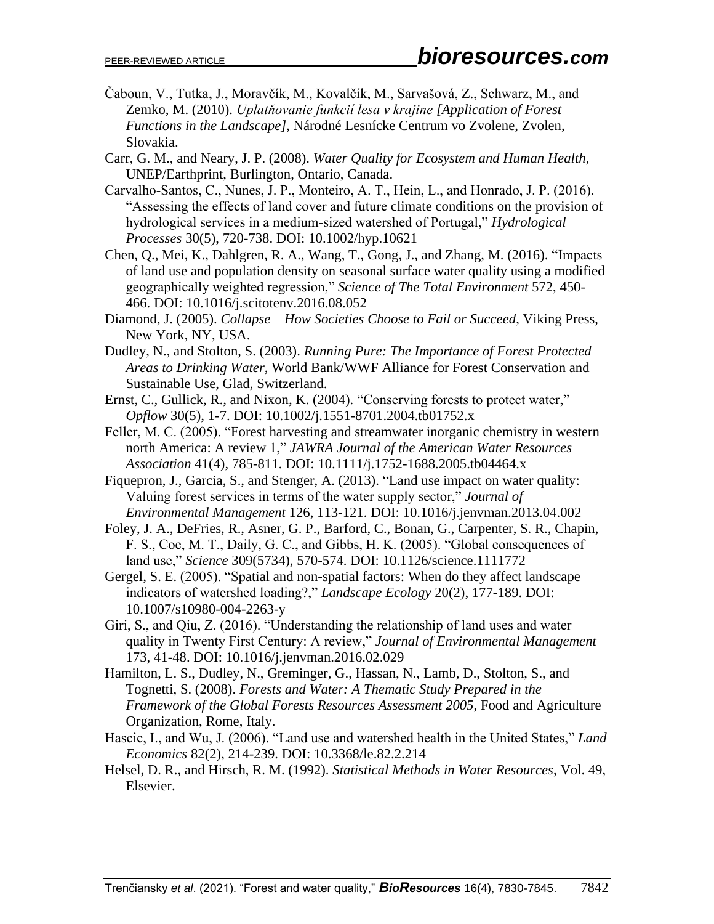- Čaboun, V., Tutka, J., Moravčík, M., Kovalčík, M., Sarvašová, Z., Schwarz, M., and Zemko, M. (2010). *Uplatňovanie funkcií lesa v krajine [Application of Forest Functions in the Landscape]*, Národné Lesnícke Centrum vo Zvolene, Zvolen, Slovakia.
- Carr, G. M., and Neary, J. P. (2008). *Water Quality for Ecosystem and Human Health*, UNEP/Earthprint, Burlington, Ontario, Canada.
- Carvalho‐Santos, C., Nunes, J. P., Monteiro, A. T., Hein, L., and Honrado, J. P. (2016). "Assessing the effects of land cover and future climate conditions on the provision of hydrological services in a medium‐sized watershed of Portugal," *Hydrological Processes* 30(5), 720-738. DOI: 10.1002/hyp.10621
- Chen, Q., Mei, K., Dahlgren, R. A., Wang, T., Gong, J., and Zhang, M. (2016). "Impacts of land use and population density on seasonal surface water quality using a modified geographically weighted regression," *Science of The Total Environment* 572, 450- 466. DOI: 10.1016/j.scitotenv.2016.08.052
- Diamond, J. (2005). *Collapse – How Societies Choose to Fail or Succeed*, Viking Press, New York, NY, USA.
- Dudley, N., and Stolton, S. (2003). *Running Pure: The Importance of Forest Protected Areas to Drinking Water*, World Bank/WWF Alliance for Forest Conservation and Sustainable Use, Glad, Switzerland.
- Ernst, C., Gullick, R., and Nixon, K. (2004). "Conserving forests to protect water," *Opflow* 30(5), 1-7. DOI: 10.1002/j.1551-8701.2004.tb01752.x
- Feller, M. C. (2005). "Forest harvesting and streamwater inorganic chemistry in western north America: A review 1," *JAWRA Journal of the American Water Resources Association* 41(4), 785-811. DOI: 10.1111/j.1752-1688.2005.tb04464.x
- Fiquepron, J., Garcia, S., and Stenger, A. (2013). "Land use impact on water quality: Valuing forest services in terms of the water supply sector," *Journal of Environmental Management* 126, 113-121. DOI: 10.1016/j.jenvman.2013.04.002
- Foley, J. A., DeFries, R., Asner, G. P., Barford, C., Bonan, G., Carpenter, S. R., Chapin, F. S., Coe, M. T., Daily, G. C., and Gibbs, H. K. (2005). "Global consequences of land use," *Science* 309(5734), 570-574. DOI: 10.1126/science.1111772
- Gergel, S. E. (2005). "Spatial and non-spatial factors: When do they affect landscape indicators of watershed loading?," *Landscape Ecology* 20(2), 177-189. DOI: 10.1007/s10980-004-2263-y
- Giri, S., and Qiu, Z. (2016). "Understanding the relationship of land uses and water quality in Twenty First Century: A review," *Journal of Environmental Management* 173, 41-48. DOI: 10.1016/j.jenvman.2016.02.029
- Hamilton, L. S., Dudley, N., Greminger, G., Hassan, N., Lamb, D., Stolton, S., and Tognetti, S. (2008). *Forests and Water: A Thematic Study Prepared in the Framework of the Global Forests Resources Assessment 2005*, Food and Agriculture Organization, Rome, Italy.
- Hascic, I., and Wu, J. (2006). "Land use and watershed health in the United States," *Land Economics* 82(2), 214-239. DOI: 10.3368/le.82.2.214
- Helsel, D. R., and Hirsch, R. M. (1992). *Statistical Methods in Water Resources*, Vol. 49, Elsevier.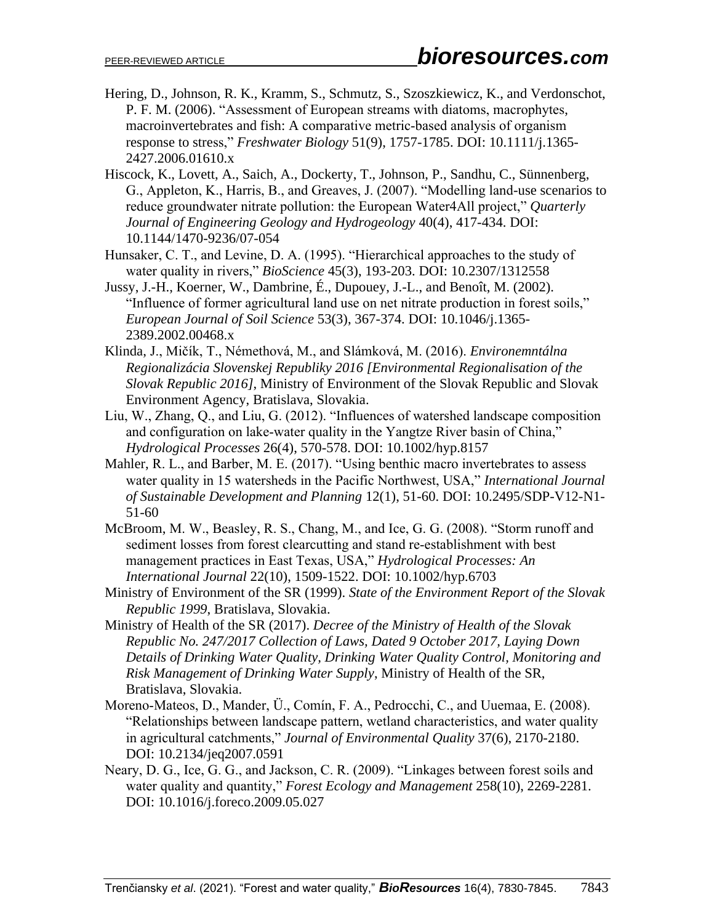- Hering, D., Johnson, R. K., Kramm, S., Schmutz, S., Szoszkiewicz, K., and Verdonschot, P. F. M. (2006). "Assessment of European streams with diatoms, macrophytes, macroinvertebrates and fish: A comparative metric-based analysis of organism response to stress," *Freshwater Biology* 51(9), 1757-1785. DOI: 10.1111/j.1365- 2427.2006.01610.x
- Hiscock, K., Lovett, A., Saich, A., Dockerty, T., Johnson, P., Sandhu, C., Sünnenberg, G., Appleton, K., Harris, B., and Greaves, J. (2007). "Modelling land-use scenarios to reduce groundwater nitrate pollution: the European Water4All project," *Quarterly Journal of Engineering Geology and Hydrogeology* 40(4), 417-434. DOI: 10.1144/1470-9236/07-054
- Hunsaker, C. T., and Levine, D. A. (1995). "Hierarchical approaches to the study of water quality in rivers," *BioScience* 45(3), 193-203. DOI: 10.2307/1312558
- Jussy, J.-H., Koerner, W., Dambrine, É., Dupouey, J.-L., and Benoît, M. (2002). "Influence of former agricultural land use on net nitrate production in forest soils," *European Journal of Soil Science* 53(3), 367-374. DOI: 10.1046/j.1365- 2389.2002.00468.x
- Klinda, J., Mičík, T., Némethová, M., and Slámková, M. (2016). *Environemntálna Regionalizácia Slovenskej Republiky 2016 [Environmental Regionalisation of the Slovak Republic 2016]*, Ministry of Environment of the Slovak Republic and Slovak Environment Agency, Bratislava, Slovakia.
- Liu, W., Zhang, Q., and Liu, G. (2012). "Influences of watershed landscape composition and configuration on lake‐water quality in the Yangtze River basin of China," *Hydrological Processes* 26(4), 570-578. DOI: 10.1002/hyp.8157
- Mahler, R. L., and Barber, M. E. (2017). "Using benthic macro invertebrates to assess water quality in 15 watersheds in the Pacific Northwest, USA," *International Journal of Sustainable Development and Planning* 12(1), 51-60. DOI: 10.2495/SDP-V12-N1- 51-60
- McBroom, M. W., Beasley, R. S., Chang, M., and Ice, G. G. (2008). "Storm runoff and sediment losses from forest clearcutting and stand re‐establishment with best management practices in East Texas, USA," *Hydrological Processes: An International Journal* 22(10), 1509-1522. DOI: 10.1002/hyp.6703
- Ministry of Environment of the SR (1999). *State of the Environment Report of the Slovak Republic 1999*, Bratislava, Slovakia.
- Ministry of Health of the SR (2017). *Decree of the Ministry of Health of the Slovak Republic No. 247/2017 Collection of Laws, Dated 9 October 2017, Laying Down Details of Drinking Water Quality, Drinking Water Quality Control, Monitoring and Risk Management of Drinking Water Supply*, Ministry of Health of the SR, Bratislava, Slovakia.
- Moreno‐Mateos, D., Mander, Ü., Comín, F. A., Pedrocchi, C., and Uuemaa, E. (2008). "Relationships between landscape pattern, wetland characteristics, and water quality in agricultural catchments," *Journal of Environmental Quality* 37(6), 2170-2180. DOI: 10.2134/jeq2007.0591
- Neary, D. G., Ice, G. G., and Jackson, C. R. (2009). "Linkages between forest soils and water quality and quantity," *Forest Ecology and Management* 258(10), 2269-2281. DOI: 10.1016/j.foreco.2009.05.027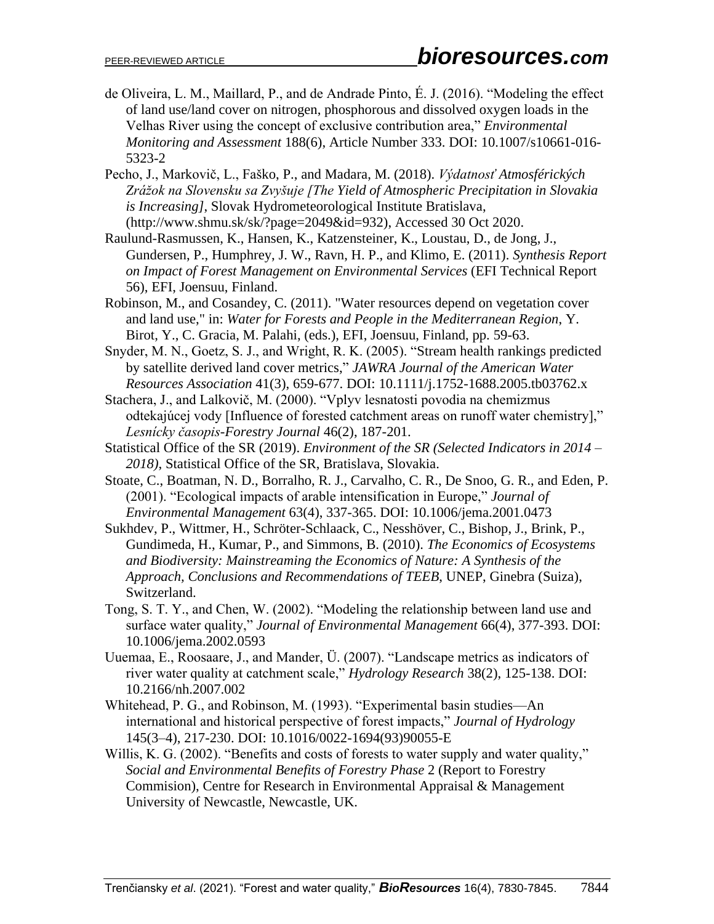- de Oliveira, L. M., Maillard, P., and de Andrade Pinto, É. J. (2016). "Modeling the effect of land use/land cover on nitrogen, phosphorous and dissolved oxygen loads in the Velhas River using the concept of exclusive contribution area," *Environmental Monitoring and Assessment* 188(6), Article Number 333. DOI: 10.1007/s10661-016- 5323-2
- Pecho, J., Markovič, L., Faško, P., and Madara, M. (2018). *Výdatnosť Atmosférických Zrážok na Slovensku sa Zvyšuje [The Yield of Atmospheric Precipitation in Slovakia is Increasing]*, Slovak Hydrometeorological Institute Bratislava, (http://www.shmu.sk/sk/?page=2049&id=932), Accessed 30 Oct 2020.
- Raulund-Rasmussen, K., Hansen, K., Katzensteiner, K., Loustau, D., de Jong, J., Gundersen, P., Humphrey, J. W., Ravn, H. P., and Klimo, E. (2011). *Synthesis Report on Impact of Forest Management on Environmental Services* (EFI Technical Report 56), EFI, Joensuu, Finland.
- Robinson, M., and Cosandey, C. (2011). "Water resources depend on vegetation cover and land use," in: *Water for Forests and People in the Mediterranean Region*, Y. Birot, Y., C. Gracia, M. Palahi, (eds.), EFI, Joensuu, Finland, pp. 59-63.
- Snyder, M. N., Goetz, S. J., and Wright, R. K. (2005). "Stream health rankings predicted by satellite derived land cover metrics," *JAWRA Journal of the American Water Resources Association* 41(3), 659-677. DOI: 10.1111/j.1752-1688.2005.tb03762.x
- Stachera, J., and Lalkovič, M. (2000). "Vplyv lesnatosti povodia na chemizmus odtekajúcej vody [Influence of forested catchment areas on runoff water chemistry]," *Lesnícky časopis-Forestry Journal* 46(2), 187-201.
- Statistical Office of the SR (2019). *Environment of the SR (Selected Indicators in 2014 – 2018)*, Statistical Office of the SR, Bratislava, Slovakia.
- Stoate, C., Boatman, N. D., Borralho, R. J., Carvalho, C. R., De Snoo, G. R., and Eden, P. (2001). "Ecological impacts of arable intensification in Europe," *Journal of Environmental Management* 63(4), 337-365. DOI: 10.1006/jema.2001.0473
- Sukhdev, P., Wittmer, H., Schröter-Schlaack, C., Nesshöver, C., Bishop, J., Brink, P., Gundimeda, H., Kumar, P., and Simmons, B. (2010). *The Economics of Ecosystems and Biodiversity: Mainstreaming the Economics of Nature: A Synthesis of the Approach, Conclusions and Recommendations of TEEB*, UNEP, Ginebra (Suiza), Switzerland.
- Tong, S. T. Y., and Chen, W. (2002). "Modeling the relationship between land use and surface water quality," *Journal of Environmental Management* 66(4), 377-393. DOI: 10.1006/jema.2002.0593
- Uuemaa, E., Roosaare, J., and Mander, Ü. (2007). "Landscape metrics as indicators of river water quality at catchment scale," *Hydrology Research* 38(2), 125-138. DOI: 10.2166/nh.2007.002
- Whitehead, P. G., and Robinson, M. (1993). "Experimental basin studies—An international and historical perspective of forest impacts," *Journal of Hydrology* 145(3–4), 217-230. DOI: 10.1016/0022-1694(93)90055-E
- Willis, K. G. (2002). "Benefits and costs of forests to water supply and water quality," *Social and Environmental Benefits of Forestry Phase* 2 (Report to Forestry Commision), Centre for Research in Environmental Appraisal & Management University of Newcastle, Newcastle, UK.